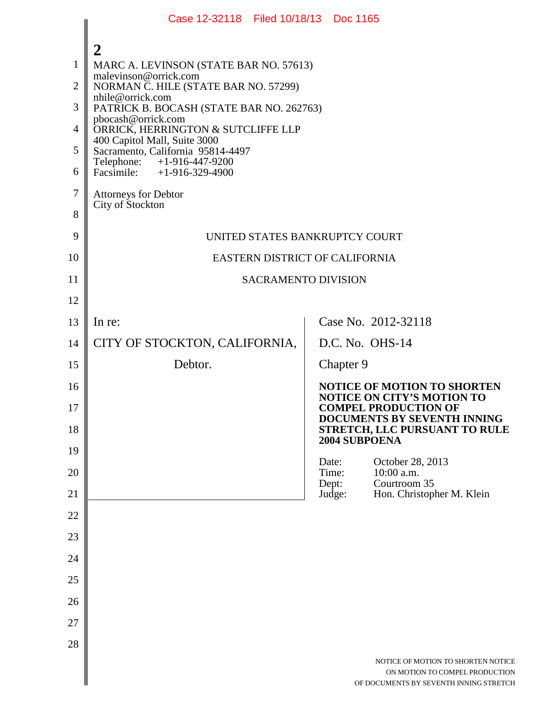|                                                                                   | Case 12-32118 Filed 10/18/13 Doc 1165                                                                                                                                                                                                                                                                                                                                                                      |       |                 |                                                                                                                                       |  |
|-----------------------------------------------------------------------------------|------------------------------------------------------------------------------------------------------------------------------------------------------------------------------------------------------------------------------------------------------------------------------------------------------------------------------------------------------------------------------------------------------------|-------|-----------------|---------------------------------------------------------------------------------------------------------------------------------------|--|
| $\mathbf{1}$<br>$\overline{2}$<br>3<br>$\overline{4}$<br>5<br>6<br>$\overline{7}$ | 2<br>MARC A. LEVINSON (STATE BAR NO. 57613)<br>malevinson@orrick.com<br>NORMAN C. HILE (STATE BAR NO. 57299)<br>nhile@orrick.com<br>PATRICK B. BOCASH (STATE BAR NO. 262763)<br>pbocash@orrick.com<br>ORRICK, HERRINGTON & SUTCLIFFE LLP<br>400 Capitol Mall, Suite 3000<br>Sacramento, California 95814-4497<br>Telephone: +1-916-447-9200<br>Facsimile: $+1-916-329-4900$<br><b>Attorneys for Debtor</b> |       |                 |                                                                                                                                       |  |
| 8                                                                                 | City of Stockton                                                                                                                                                                                                                                                                                                                                                                                           |       |                 |                                                                                                                                       |  |
| 9                                                                                 | UNITED STATES BANKRUPTCY COURT                                                                                                                                                                                                                                                                                                                                                                             |       |                 |                                                                                                                                       |  |
| 10                                                                                | EASTERN DISTRICT OF CALIFORNIA                                                                                                                                                                                                                                                                                                                                                                             |       |                 |                                                                                                                                       |  |
| 11                                                                                | <b>SACRAMENTO DIVISION</b>                                                                                                                                                                                                                                                                                                                                                                                 |       |                 |                                                                                                                                       |  |
| 12                                                                                |                                                                                                                                                                                                                                                                                                                                                                                                            |       |                 |                                                                                                                                       |  |
| 13                                                                                | In re:                                                                                                                                                                                                                                                                                                                                                                                                     |       |                 | Case No. 2012-32118                                                                                                                   |  |
| 14                                                                                | CITY OF STOCKTON, CALIFORNIA,                                                                                                                                                                                                                                                                                                                                                                              |       |                 | D.C. No. OHS-14                                                                                                                       |  |
| 15                                                                                | Debtor.                                                                                                                                                                                                                                                                                                                                                                                                    |       | Chapter 9       |                                                                                                                                       |  |
| 16<br>17<br>18                                                                    |                                                                                                                                                                                                                                                                                                                                                                                                            |       |                 | <b>NOTICE OF MOTION TO SHORTEN</b><br><b>NOTICE ON CITY'S MOTION TO</b><br><b>COMPEL PRODUCTION OF</b><br>DOCUMENTS BY SEVENTH INNING |  |
| 19                                                                                |                                                                                                                                                                                                                                                                                                                                                                                                            |       |                 | STRETCH, LLC PURSUANT TO RULE<br>2004 SUBPOENA                                                                                        |  |
| 20                                                                                |                                                                                                                                                                                                                                                                                                                                                                                                            | Date: | Time:           | October 28, 2013<br>10:00 a.m.                                                                                                        |  |
| 21                                                                                |                                                                                                                                                                                                                                                                                                                                                                                                            |       | Dept:<br>Judge: | Courtroom 35<br>Hon. Christopher M. Klein                                                                                             |  |
| 22                                                                                |                                                                                                                                                                                                                                                                                                                                                                                                            |       |                 |                                                                                                                                       |  |
| 23                                                                                |                                                                                                                                                                                                                                                                                                                                                                                                            |       |                 |                                                                                                                                       |  |
| 24                                                                                |                                                                                                                                                                                                                                                                                                                                                                                                            |       |                 |                                                                                                                                       |  |
| 25                                                                                |                                                                                                                                                                                                                                                                                                                                                                                                            |       |                 |                                                                                                                                       |  |
| 26                                                                                |                                                                                                                                                                                                                                                                                                                                                                                                            |       |                 |                                                                                                                                       |  |
| 27                                                                                |                                                                                                                                                                                                                                                                                                                                                                                                            |       |                 |                                                                                                                                       |  |
| 28                                                                                |                                                                                                                                                                                                                                                                                                                                                                                                            |       |                 |                                                                                                                                       |  |
|                                                                                   |                                                                                                                                                                                                                                                                                                                                                                                                            |       |                 | NOTICE OF MOTION TO SHORTEN NOTICE<br>ON MOTION TO COMPEL PRODUCTION<br>OF DOCUMENTS BY SEVENTH INNING STRETCH                        |  |